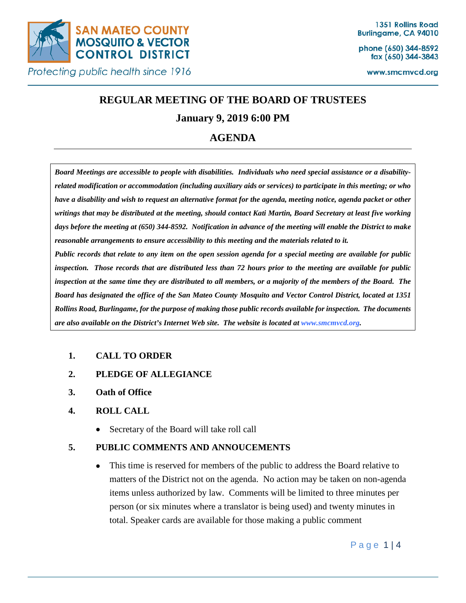

phone (650) 344-8592 fax (650) 344-3843

www.smcmvcd.org

# **REGULAR MEETING OF THE BOARD OF TRUSTEES**

# **January 9, 2019 6:00 PM**

# **AGENDA**

*Board Meetings are accessible to people with disabilities. Individuals who need special assistance or a disabilityrelated modification or accommodation (including auxiliary aids or services) to participate in this meeting; or who have a disability and wish to request an alternative format for the agenda, meeting notice, agenda packet or other writings that may be distributed at the meeting, should contact Kati Martin, Board Secretary at least five working*  days before the meeting at (650) 344-8592. Notification in advance of the meeting will enable the District to make *reasonable arrangements to ensure accessibility to this meeting and the materials related to it.*

*Public records that relate to any item on the open session agenda for a special meeting are available for public inspection. Those records that are distributed less than 72 hours prior to the meeting are available for public inspection at the same time they are distributed to all members, or a majority of the members of the Board. The Board has designated the office of the San Mateo County Mosquito and Vector Control District, located at 1351 Rollins Road, Burlingame, for the purpose of making those public records available for inspection. The documents are also available on the District's Internet Web site. The website is located at www.smcmvcd.org.* 

# **1. CALL TO ORDER**

- **2. PLEDGE OF ALLEGIANCE**
- **3. Oath of Office**
- **4. ROLL CALL**
	- Secretary of the Board will take roll call

# **5. PUBLIC COMMENTS AND ANNOUCEMENTS**

• This time is reserved for members of the public to address the Board relative to matters of the District not on the agenda. No action may be taken on non-agenda items unless authorized by law. Comments will be limited to three minutes per person (or six minutes where a translator is being used) and twenty minutes in total. Speaker cards are available for those making a public comment

Page 1 | 4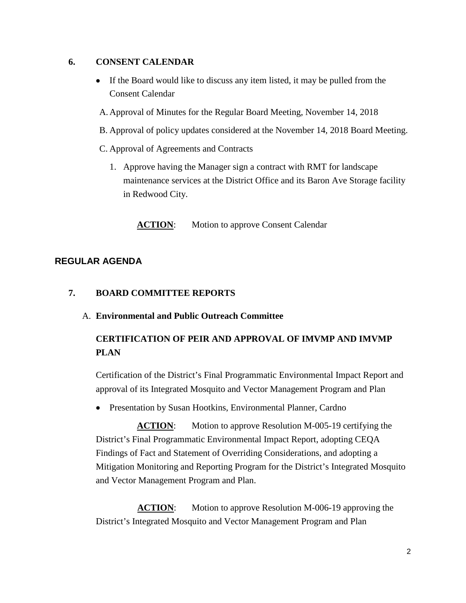## **6. CONSENT CALENDAR**

- If the Board would like to discuss any item listed, it may be pulled from the Consent Calendar
- A. Approval of Minutes for the Regular Board Meeting, November 14, 2018
- B. Approval of policy updates considered at the November 14, 2018 Board Meeting.
- C. Approval of Agreements and Contracts
	- 1. Approve having the Manager sign a contract with RMT for landscape maintenance services at the District Office and its Baron Ave Storage facility in Redwood City.

**ACTION:** Motion to approve Consent Calendar

# **REGULAR AGENDA**

## **7. BOARD COMMITTEE REPORTS**

A. **Environmental and Public Outreach Committee**

# **CERTIFICATION OF PEIR AND APPROVAL OF IMVMP AND IMVMP PLAN**

Certification of the District's Final Programmatic Environmental Impact Report and approval of its Integrated Mosquito and Vector Management Program and Plan

• Presentation by Susan Hootkins, Environmental Planner, Cardno

**ACTION:** Motion to approve Resolution M-005-19 certifying the District's Final Programmatic Environmental Impact Report, adopting CEQA Findings of Fact and Statement of Overriding Considerations, and adopting a Mitigation Monitoring and Reporting Program for the District's Integrated Mosquito and Vector Management Program and Plan.

**ACTION:** Motion to approve Resolution M-006-19 approving the District's Integrated Mosquito and Vector Management Program and Plan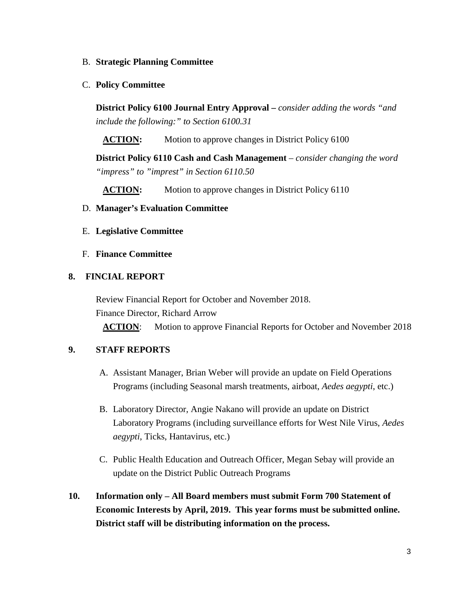#### B. **Strategic Planning Committee**

C. **Policy Committee**

**District Policy 6100 Journal Entry Approval –** *consider adding the words "and include the following:" to Section 6100.31*

**ACTION:** Motion to approve changes in District Policy 6100

**District Policy 6110 Cash and Cash Management** *– consider changing the word "impress" to "imprest" in Section 6110.50*

**ACTION:** Motion to approve changes in District Policy 6110

## D. **Manager's Evaluation Committee**

E. **Legislative Committee**

## F. **Finance Committee**

## **8. FINCIAL REPORT**

Review Financial Report for October and November 2018. Finance Director, Richard Arrow

**ACTION**: Motion to approve Financial Reports for October and November 2018

# **9. STAFF REPORTS**

- A. Assistant Manager, Brian Weber will provide an update on Field Operations Programs (including Seasonal marsh treatments, airboat, *Aedes aegypti*, etc.)
- B. Laboratory Director, Angie Nakano will provide an update on District Laboratory Programs (including surveillance efforts for West Nile Virus, *Aedes aegypti*, Ticks, Hantavirus, etc.)
- C. Public Health Education and Outreach Officer, Megan Sebay will provide an update on the District Public Outreach Programs
- **10. Information only – All Board members must submit Form 700 Statement of Economic Interests by April, 2019. This year forms must be submitted online. District staff will be distributing information on the process.**